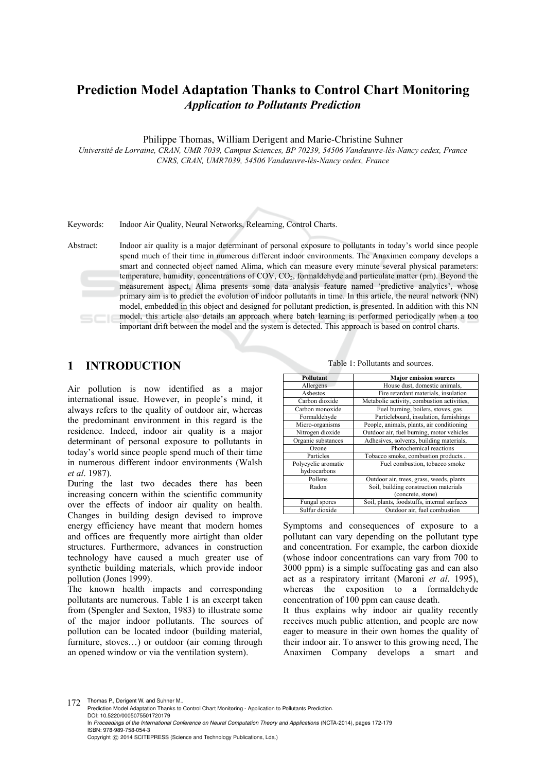# **Prediction Model Adaptation Thanks to Control Chart Monitoring**  *Application to Pollutants Prediction*

Philippe Thomas, William Derigent and Marie-Christine Suhner

*Université de Lorraine, CRAN, UMR 7039, Campus Sciences, BP 70239, 54506 Vandœuvre-lès-Nancy cedex, France CNRS, CRAN, UMR7039, 54506 Vandœuvre-lès-Nancy cedex, France* 

Keywords: Indoor Air Quality, Neural Networks, Relearning, Control Charts.

Abstract: Indoor air quality is a major determinant of personal exposure to pollutants in today's world since people spend much of their time in numerous different indoor environments. The Anaximen company develops a smart and connected object named Alima, which can measure every minute several physical parameters: temperature, humidity, concentrations of COV, CO<sub>2</sub>, formaldehyde and particulate matter (pm). Beyond the measurement aspect, Alima presents some data analysis feature named 'predictive analytics', whose primary aim is to predict the evolution of indoor pollutants in time. In this article, the neural network (NN) model, embedded in this object and designed for pollutant prediction, is presented. In addition with this NN model, this article also details an approach where batch learning is performed periodically when a too important drift between the model and the system is detected. This approach is based on control charts.

## **1 INTRODUCTION**

Air pollution is now identified as a major international issue. However, in people's mind, it always refers to the quality of outdoor air, whereas the predominant environment in this regard is the residence. Indeed, indoor air quality is a major determinant of personal exposure to pollutants in today's world since people spend much of their time in numerous different indoor environments (Walsh *et al*. 1987).

During the last two decades there has been increasing concern within the scientific community over the effects of indoor air quality on health. Changes in building design devised to improve energy efficiency have meant that modern homes and offices are frequently more airtight than older structures. Furthermore, advances in construction technology have caused a much greater use of synthetic building materials, which provide indoor pollution (Jones 1999).

The known health impacts and corresponding pollutants are numerous. Table 1 is an excerpt taken from (Spengler and Sexton, 1983) to illustrate some of the major indoor pollutants. The sources of pollution can be located indoor (building material, furniture, stoves…) or outdoor (air coming through an opened window or via the ventilation system).

Table 1: Pollutants and sources.

| Pollutant           | <b>Major emission sources</b>               |
|---------------------|---------------------------------------------|
| Allergens           | House dust, domestic animals,               |
| Asbestos            | Fire retardant materials, insulation        |
| Carbon dioxide      | Metabolic activity, combustion activities,  |
| Carbon monoxide     | Fuel burning, boilers, stoves, gas          |
| Formaldehyde        | Particleboard, insulation, furnishings      |
| Micro-organisms     | People, animals, plants, air conditioning   |
| Nitrogen dioxide    | Outdoor air, fuel burning, motor vehicles   |
| Organic substances  | Adhesives, solvents, building materials,    |
| Ozone               | Photochemical reactions                     |
| Particles           | Tobacco smoke, combustion products          |
| Polycyclic aromatic | Fuel combustion, tobacco smoke              |
| hydrocarbons        |                                             |
| Pollens             | Outdoor air, trees, grass, weeds, plants    |
| Radon               | Soil, building construction materials       |
|                     | (concrete, stone)                           |
| Fungal spores       | Soil, plants, foodstuffs, internal surfaces |
| Sulfur dioxide      | Outdoor air, fuel combustion                |

Symptoms and consequences of exposure to a pollutant can vary depending on the pollutant type and concentration. For example, the carbon dioxide (whose indoor concentrations can vary from 700 to 3000 ppm) is a simple suffocating gas and can also act as a respiratory irritant (Maroni *et al*. 1995), whereas the exposition to a formaldehyde concentration of 100 ppm can cause death.

It thus explains why indoor air quality recently receives much public attention, and people are now eager to measure in their own homes the quality of their indoor air. To answer to this growing need, The Anaximen Company develops a smart and

172 Thomas P., Derigent W. and Suhner M. Prediction Model Adaptation Thanks to Control Chart Monitoring - Application to Pollutants Prediction. DOI: 10.5220/0005075501720179 In *Proceedings of the International Conference on Neural Computation Theory and Applications* (NCTA-2014), pages 172-179 ISBN: 978-989-758-054-3 Copyright © 2014 SCITEPRESS (Science and Technology Publications, Lda.)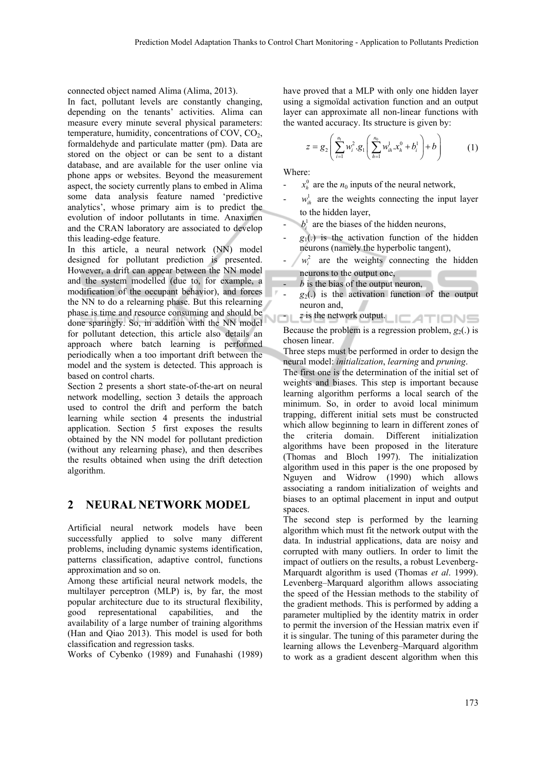connected object named Alima (Alima, 2013).

In fact, pollutant levels are constantly changing, depending on the tenants' activities. Alima can measure every minute several physical parameters: temperature, humidity, concentrations of COV,  $CO<sub>2</sub>$ , formaldehyde and particulate matter (pm). Data are stored on the object or can be sent to a distant database, and are available for the user online via phone apps or websites. Beyond the measurement aspect, the society currently plans to embed in Alima some data analysis feature named 'predictive analytics', whose primary aim is to predict the evolution of indoor pollutants in time. Anaximen and the CRAN laboratory are associated to develop this leading-edge feature.

In this article, a neural network (NN) model designed for pollutant prediction is presented. However, a drift can appear between the NN model and the system modelled (due to, for example, a modification of the occupant behavior), and forces the NN to do a relearning phase. But this relearning phase is time and resource consuming and should be done sparingly. So, in addition with the NN model for pollutant detection, this article also details an approach where batch learning is performed periodically when a too important drift between the model and the system is detected. This approach is based on control charts.

Section 2 presents a short state-of-the-art on neural network modelling, section 3 details the approach used to control the drift and perform the batch learning while section 4 presents the industrial application. Section 5 first exposes the results obtained by the NN model for pollutant prediction (without any relearning phase), and then describes the results obtained when using the drift detection algorithm.

## **2 NEURAL NETWORK MODEL**

Artificial neural network models have been successfully applied to solve many different problems, including dynamic systems identification, patterns classification, adaptive control, functions approximation and so on.

Among these artificial neural network models, the multilayer perceptron (MLP) is, by far, the most popular architecture due to its structural flexibility, good representational capabilities, and the availability of a large number of training algorithms (Han and Qiao 2013). This model is used for both classification and regression tasks.

Works of Cybenko (1989) and Funahashi (1989)

have proved that a MLP with only one hidden layer using a sigmoïdal activation function and an output layer can approximate all non-linear functions with the wanted accuracy. Its structure is given by:

$$
z = g_2 \left( \sum_{i=1}^{n_1} w_i^2 \cdot g_1 \left( \sum_{h=1}^{n_0} w_{ih}^1 \cdot x_h^0 + b_i^1 \right) + b \right) \tag{1}
$$

Where:

- $x_h^0$  are the  $n_0$  inputs of the neural network,
- $w<sub>ih</sub><sup>1</sup>$  are the weights connecting the input layer to the hidden layer,
- $\cdot$  *b<sub>i</sub>* are the biases of the hidden neurons,
- $g_1(.)$  is the activation function of the hidden neurons (namely the hyperbolic tangent),
- $w<sub>i</sub><sup>2</sup>$  are the weights connecting the hidden neurons to the output one,
	- b is the bias of the output neuron,
- $g_2(.)$  is the activation function of the output neuron and,
- $\cup$   $\Box$  L<sup>z</sup> is the network output.  $\Box$   $\Box$   $\Box$   $\Box$   $\Box$

Because the problem is a regression problem,  $g_2(.)$  is chosen linear.

Three steps must be performed in order to design the neural model: *initialization*, *learning* and *pruning*.

The first one is the determination of the initial set of weights and biases. This step is important because learning algorithm performs a local search of the minimum. So, in order to avoid local minimum trapping, different initial sets must be constructed which allow beginning to learn in different zones of the criteria domain. Different initialization algorithms have been proposed in the literature (Thomas and Bloch 1997). The initialization algorithm used in this paper is the one proposed by Nguyen and Widrow (1990) which allows associating a random initialization of weights and biases to an optimal placement in input and output spaces.

The second step is performed by the learning algorithm which must fit the network output with the data. In industrial applications, data are noisy and corrupted with many outliers. In order to limit the impact of outliers on the results, a robust Levenberg-Marquardt algorithm is used (Thomas *et al*. 1999). Levenberg–Marquard algorithm allows associating the speed of the Hessian methods to the stability of the gradient methods. This is performed by adding a parameter multiplied by the identity matrix in order to permit the inversion of the Hessian matrix even if it is singular. The tuning of this parameter during the learning allows the Levenberg–Marquard algorithm to work as a gradient descent algorithm when this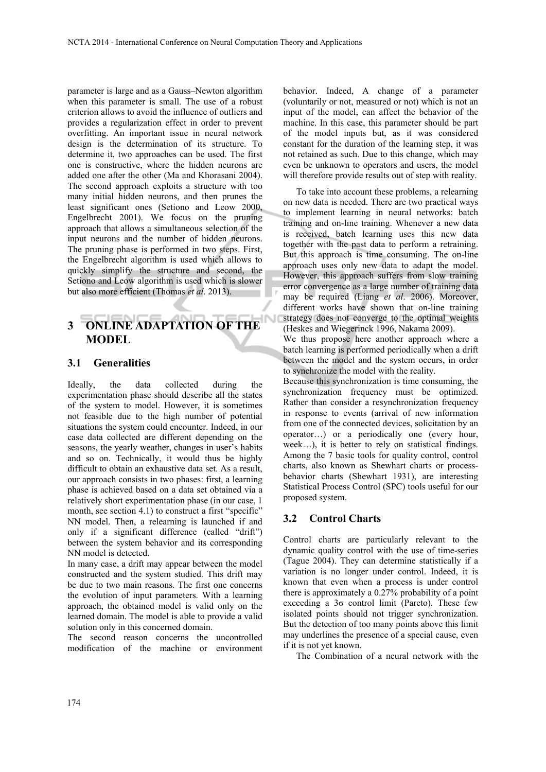parameter is large and as a Gauss–Newton algorithm when this parameter is small. The use of a robust criterion allows to avoid the influence of outliers and provides a regularization effect in order to prevent overfitting. An important issue in neural network design is the determination of its structure. To determine it, two approaches can be used. The first one is constructive, where the hidden neurons are added one after the other (Ma and Khorasani 2004). The second approach exploits a structure with too many initial hidden neurons, and then prunes the least significant ones (Setiono and Leow 2000, Engelbrecht 2001). We focus on the pruning approach that allows a simultaneous selection of the input neurons and the number of hidden neurons. The pruning phase is performed in two steps. First, the Engelbrecht algorithm is used which allows to quickly simplify the structure and second, the Setiono and Leow algorithm is used which is slower but also more efficient (Thomas *et al*. 2013).

# **3 ONLINE ADAPTATION OF THE MODEL**

## **3.1 Generalities**

Ideally, the data collected during the experimentation phase should describe all the states of the system to model. However, it is sometimes not feasible due to the high number of potential situations the system could encounter. Indeed, in our case data collected are different depending on the seasons, the yearly weather, changes in user's habits and so on. Technically, it would thus be highly difficult to obtain an exhaustive data set. As a result, our approach consists in two phases: first, a learning phase is achieved based on a data set obtained via a relatively short experimentation phase (in our case, 1 month, see section 4.1) to construct a first "specific" NN model. Then, a relearning is launched if and only if a significant difference (called "drift") between the system behavior and its corresponding NN model is detected.

In many case, a drift may appear between the model constructed and the system studied. This drift may be due to two main reasons. The first one concerns the evolution of input parameters. With a learning approach, the obtained model is valid only on the learned domain. The model is able to provide a valid solution only in this concerned domain.

The second reason concerns the uncontrolled modification of the machine or environment

behavior. Indeed, A change of a parameter (voluntarily or not, measured or not) which is not an input of the model, can affect the behavior of the machine. In this case, this parameter should be part of the model inputs but, as it was considered constant for the duration of the learning step, it was not retained as such. Due to this change, which may even be unknown to operators and users, the model will therefore provide results out of step with reality.

To take into account these problems, a relearning on new data is needed. There are two practical ways to implement learning in neural networks: batch training and on-line training. Whenever a new data is received, batch learning uses this new data together with the past data to perform a retraining. But this approach is time consuming. The on-line approach uses only new data to adapt the model. However, this approach suffers from slow training error convergence as a large number of training data may be required (Liang *et al*. 2006). Moreover, different works have shown that on-line training strategy does not converge to the optimal weights (Heskes and Wiegerinck 1996, Nakama 2009).

We thus propose here another approach where a batch learning is performed periodically when a drift between the model and the system occurs, in order to synchronize the model with the reality.

Because this synchronization is time consuming, the synchronization frequency must be optimized. Rather than consider a resynchronization frequency in response to events (arrival of new information from one of the connected devices, solicitation by an operator…) or a periodically one (every hour, week…), it is better to rely on statistical findings. Among the 7 basic tools for quality control, control charts, also known as Shewhart charts or processbehavior charts (Shewhart 1931), are interesting Statistical Process Control (SPC) tools useful for our proposed system.

## **3.2 Control Charts**

Control charts are particularly relevant to the dynamic quality control with the use of time-series (Tague 2004). They can determine statistically if a variation is no longer under control. Indeed, it is known that even when a process is under control there is approximately a 0.27% probability of a point exceeding a  $3\sigma$  control limit (Pareto). These few isolated points should not trigger synchronization. But the detection of too many points above this limit may underlines the presence of a special cause, even if it is not yet known.

The Combination of a neural network with the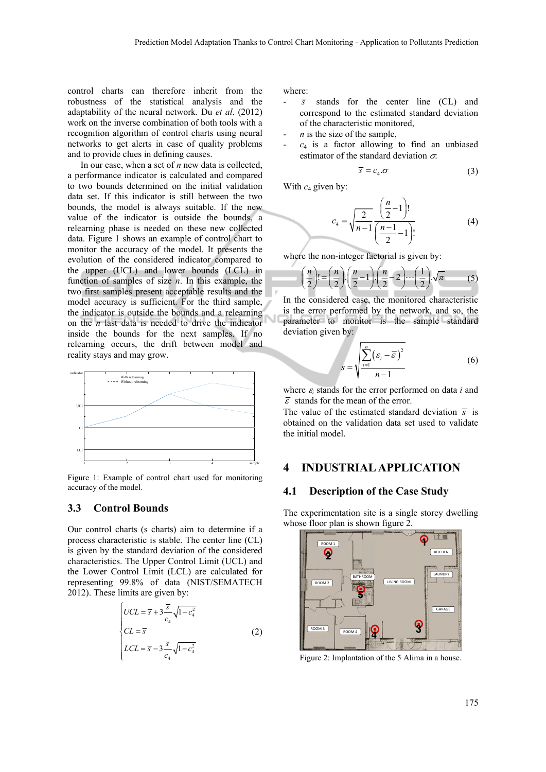control charts can therefore inherit from the robustness of the statistical analysis and the adaptability of the neural network. Du *et al*. (2012) work on the inverse combination of both tools with a recognition algorithm of control charts using neural networks to get alerts in case of quality problems and to provide clues in defining causes.

In our case, when a set of *n* new data is collected, a performance indicator is calculated and compared to two bounds determined on the initial validation data set. If this indicator is still between the two bounds, the model is always suitable. If the new value of the indicator is outside the bounds, a relearning phase is needed on these new collected data. Figure 1 shows an example of control chart to monitor the accuracy of the model. It presents the evolution of the considered indicator compared to the upper (UCL) and lower bounds (LCL) in function of samples of size *n*. In this example, the two first samples present acceptable results and the model accuracy is sufficient. For the third sample, the indicator is outside the bounds and a relearning on the *n* last data is needed to drive the indicator inside the bounds for the next samples. If no relearning occurs, the drift between model and reality stays and may grow.



Figure 1: Example of control chart used for monitoring accuracy of the model.

## **3.3 Control Bounds**

Our control charts (s charts) aim to determine if a process characteristic is stable. The center line (CL) is given by the standard deviation of the considered characteristics. The Upper Control Limit (UCL) and the Lower Control Limit (LCL) are calculated for representing 99.8% of data (NIST/SEMATECH 2012). These limits are given by:

$$
\begin{cases}\nUCL = \overline{s} + 3\frac{\overline{s}}{c_4}\sqrt{1 - c_4^2} \\
CL = \overline{s} \\
LCL = \overline{s} - 3\frac{\overline{s}}{c_4}\sqrt{1 - c_4^2}\n\end{cases}
$$
\n(2)

where:

- $\overline{s}$  stands for the center line (CL) and correspond to the estimated standard deviation of the characteristic monitored,
- *is the size of the sample,*
- $c_4$  is a factor allowing to find an unbiased estimator of the standard deviation  $\sigma$ .

$$
\overline{s} = c_4 \sigma \tag{3}
$$

With  $c_4$  given by:

$$
c_4 = \sqrt{\frac{2}{n-1} \left(\frac{n}{2} - 1\right)!}
$$
 (4)

where the non-integer factorial is given by:

*<sup>i</sup> s*

$$
\left(\frac{n}{2}\right)! = \left(\frac{n}{2}\right) \cdot \left(\frac{n}{2} - 1\right) \cdot \left(\frac{n}{2} - 2\right) \cdots \left(\frac{1}{2}\right) \cdot \sqrt{\pi} \tag{5}
$$

In the considered case, the monitored characteristic is the error performed by the network, and so, the parameter to monitor is the sample standard deviation given by:

$$
=\sqrt{\frac{\sum_{i=1}^{n}(\varepsilon_{i}-\overline{\varepsilon})^{2}}{n-1}}
$$
 (6)

where  $\varepsilon_i$  stands for the error performed on data *i* and  $\overline{\varepsilon}$  stands for the mean of the error.

The value of the estimated standard deviation  $\bar{s}$  is obtained on the validation data set used to validate the initial model.

## **4 INDUSTRIAL APPLICATION**

#### **4.1 Description of the Case Study**

The experimentation site is a single storey dwelling whose floor plan is shown figure 2.



Figure 2: Implantation of the 5 Alima in a house.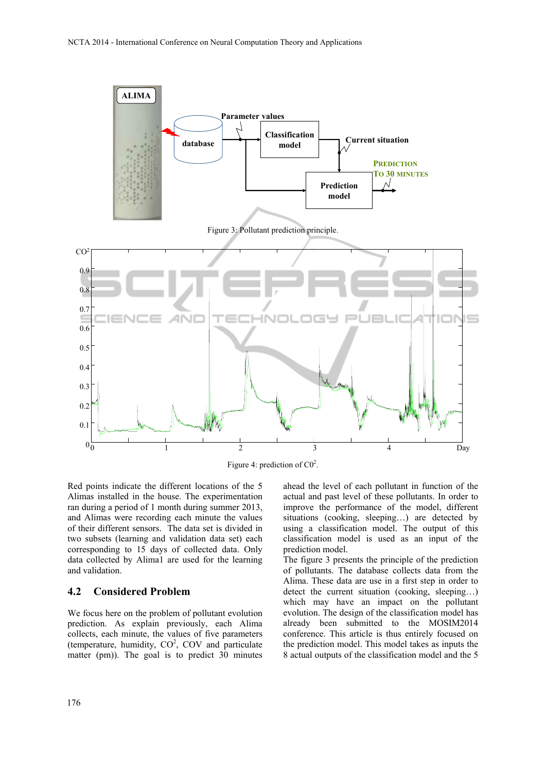

Red points indicate the different locations of the 5 Alimas installed in the house. The experimentation ran during a period of 1 month during summer 2013, and Alimas were recording each minute the values of their different sensors. The data set is divided in two subsets (learning and validation data set) each corresponding to 15 days of collected data. Only data collected by Alima1 are used for the learning and validation.

#### **4.2 Considered Problem**

We focus here on the problem of pollutant evolution prediction. As explain previously, each Alima collects, each minute, the values of five parameters (temperature, humidity,  $CO<sup>2</sup>$ ,  $COV$  and particulate matter (pm)). The goal is to predict 30 minutes

ahead the level of each pollutant in function of the actual and past level of these pollutants. In order to improve the performance of the model, different situations (cooking, sleeping…) are detected by using a classification model. The output of this classification model is used as an input of the prediction model.

The figure 3 presents the principle of the prediction of pollutants. The database collects data from the Alima. These data are use in a first step in order to detect the current situation (cooking, sleeping…) which may have an impact on the pollutant evolution. The design of the classification model has already been submitted to the MOSIM2014 conference. This article is thus entirely focused on the prediction model. This model takes as inputs the 8 actual outputs of the classification model and the 5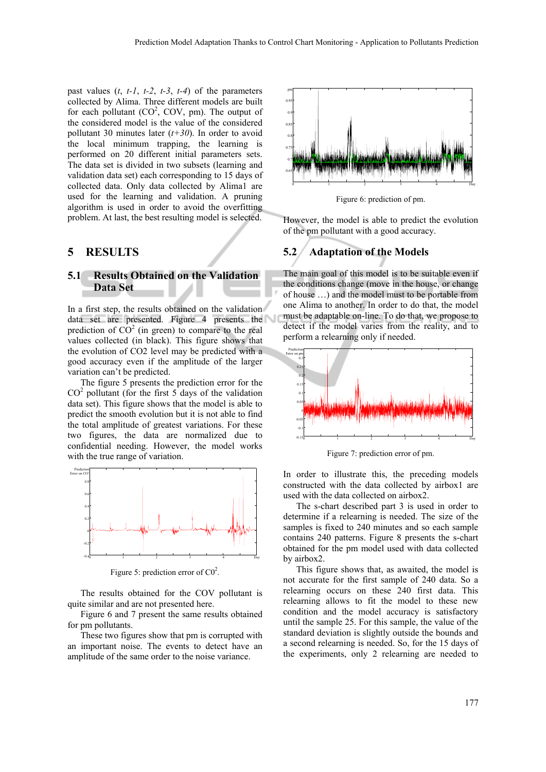past values  $(t, t-1, t-2, t-3, t-4)$  of the parameters collected by Alima. Three different models are built for each pollutant  $(CO^2, COV, pm)$ . The output of the considered model is the value of the considered pollutant 30 minutes later (*t+30*). In order to avoid the local minimum trapping, the learning is performed on 20 different initial parameters sets. The data set is divided in two subsets (learning and validation data set) each corresponding to 15 days of collected data. Only data collected by Alima1 are used for the learning and validation. A pruning algorithm is used in order to avoid the overfitting problem. At last, the best resulting model is selected.

## **5 RESULTS**

## **5.1 Results Obtained on the Validation Data Set**

In a first step, the results obtained on the validation data set are presented. Figure 4 presents the prediction of  $CO<sup>2</sup>$  (in green) to compare to the real values collected (in black). This figure shows that the evolution of CO2 level may be predicted with a good accuracy even if the amplitude of the larger variation can't be predicted.

The figure 5 presents the prediction error for the  $CO<sup>2</sup>$  pollutant (for the first 5 days of the validation data set). This figure shows that the model is able to predict the smooth evolution but it is not able to find the total amplitude of greatest variations. For these two figures, the data are normalized due to confidential needing. However, the model works with the true range of variation.



Figure 5: prediction error of  $CO<sup>2</sup>$ .

The results obtained for the COV pollutant is quite similar and are not presented here.

Figure 6 and 7 present the same results obtained for pm pollutants.

These two figures show that pm is corrupted with an important noise. The events to detect have an amplitude of the same order to the noise variance.



Figure 6: prediction of pm.

However, the model is able to predict the evolution of the pm pollutant with a good accuracy.

## **5.2 Adaptation of the Models**

The main goal of this model is to be suitable even if the conditions change (move in the house, or change of house …) and the model must to be portable from one Alima to another. In order to do that, the model must be adaptable on-line. To do that, we propose to detect if the model varies from the reality, and to perform a relearning only if needed.



Figure 7: prediction error of pm.

In order to illustrate this, the preceding models constructed with the data collected by airbox1 are used with the data collected on airbox2.

The s-chart described part 3 is used in order to determine if a relearning is needed. The size of the samples is fixed to 240 minutes and so each sample contains 240 patterns. Figure 8 presents the s-chart obtained for the pm model used with data collected by airbox2.

This figure shows that, as awaited, the model is not accurate for the first sample of 240 data. So a relearning occurs on these 240 first data. This relearning allows to fit the model to these new condition and the model accuracy is satisfactory until the sample 25. For this sample, the value of the standard deviation is slightly outside the bounds and a second relearning is needed. So, for the 15 days of the experiments, only 2 relearning are needed to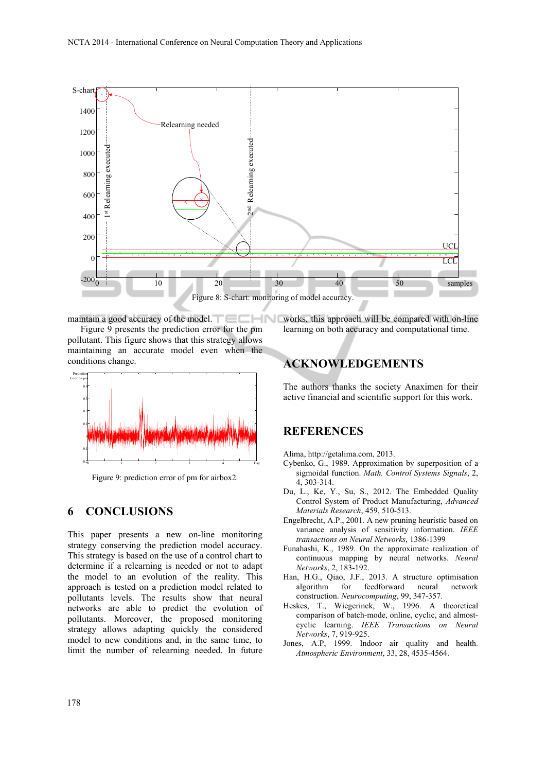

maintain a good accuracy of the model.

Figure 9 presents the prediction error for the pm pollutant. This figure shows that this strategy allows maintaining an accurate model even when the conditions change.



Figure 9: prediction error of pm for airbox2.

## **6 CONCLUSIONS**

This paper presents a new on-line monitoring strategy conserving the prediction model accuracy. This strategy is based on the use of a control chart to determine if a relearning is needed or not to adapt the model to an evolution of the reality. This approach is tested on a prediction model related to pollutants levels. The results show that neural networks are able to predict the evolution of pollutants. Moreover, the proposed monitoring strategy allows adapting quickly the considered model to new conditions and, in the same time, to limit the number of relearning needed. In future

works, this approach will be compared with on-line learning on both accuracy and computational time.

# **ACKNOWLEDGEMENTS**

The authors thanks the society Anaximen for their active financial and scientific support for this work.

## **REFERENCES**

Alima, http://getalima.com, 2013.

- Cybenko, G., 1989. Approximation by superposition of a sigmoidal function. *Math. Control Systems Signals*, 2, 4, 303-314.
- Du, L., Ke, Y., Su, S., 2012. The Embedded Quality Control System of Product Manufacturing, *Advanced Materials Research*, 459, 510-513.
- Engelbrecht, A.P., 2001. A new pruning heuristic based on variance analysis of sensitivity information. *IEEE transactions on Neural Networks*, 1386-1399
- Funahashi, K., 1989. On the approximate realization of continuous mapping by neural networks. *Neural Networks*, 2, 183-192.
- Han, H.G., Qiao, J.F., 2013. A structure optimisation algorithm for feedforward neural network construction. *Neurocomputing*, 99, 347-357.
- Heskes, T., Wiegerinck, W., 1996. A theoretical comparison of batch-mode, online, cyclic, and almostcyclic learning. *IEEE Transactions on Neural Networks*, 7, 919-925.
- Jones, A.P, 1999. Indoor air quality and health. *Atmospheric Environment*, 33, 28, 4535-4564.